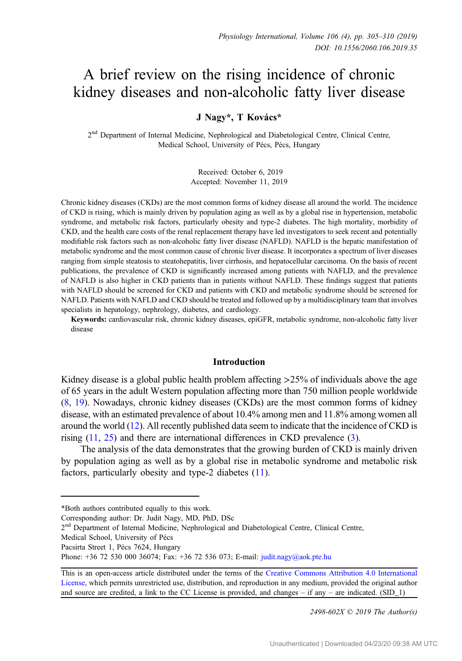# A brief review on the rising incidence of chronic kidney diseases and non-alcoholic fatty liver disease

## J Nagy\*, T Kovács\*

2<sup>nd</sup> Department of Internal Medicine, Nephrological and Diabetological Centre, Clinical Centre, Medical School, University of Pécs, Pécs, Hungary

> Received: October 6, 2019 Accepted: November 11, 2019

Chronic kidney diseases (CKDs) are the most common forms of kidney disease all around the world. The incidence of CKD is rising, which is mainly driven by population aging as well as by a global rise in hypertension, metabolic syndrome, and metabolic risk factors, particularly obesity and type-2 diabetes. The high mortality, morbidity of CKD, and the health care costs of the renal replacement therapy have led investigators to seek recent and potentially modifiable risk factors such as non-alcoholic fatty liver disease (NAFLD). NAFLD is the hepatic manifestation of metabolic syndrome and the most common cause of chronic liver disease. It incorporates a spectrum of liver diseases ranging from simple steatosis to steatohepatitis, liver cirrhosis, and hepatocellular carcinoma. On the basis of recent publications, the prevalence of CKD is significantly increased among patients with NAFLD, and the prevalence of NAFLD is also higher in CKD patients than in patients without NAFLD. These findings suggest that patients with NAFLD should be screened for CKD and patients with CKD and metabolic syndrome should be screened for NAFLD. Patients with NAFLD and CKD should be treated and followed up by a multidisciplinary team that involves specialists in hepatology, nephrology, diabetes, and cardiology.

Keywords: cardiovascular risk, chronic kidney diseases, epiGFR, metabolic syndrome, non-alcoholic fatty liver disease

## Introduction

Kidney disease is a global public health problem affecting  $>25\%$  of individuals above the age of 65 years in the adult Western population affecting more than 750 million people worldwide [\(8](#page-4-0), [19\)](#page-5-0). Nowadays, chronic kidney diseases (CKDs) are the most common forms of kidney disease, with an estimated prevalence of about 10.4% among men and 11.8% among women all around the world ([12\)](#page-4-0). All recently published data seem to indicate that the incidence of CKD is rising ([11](#page-4-0), [25](#page-5-0)) and there are international differences in CKD prevalence [\(3](#page-4-0)).

The analysis of the data demonstrates that the growing burden of CKD is mainly driven by population aging as well as by a global rise in metabolic syndrome and metabolic risk factors, particularly obesity and type-2 diabetes ([11\)](#page-4-0).

2498-602X  $\odot$  2019 The Author(s)

<sup>\*</sup>Both authors contributed equally to this work.

Corresponding author: Dr. Judit Nagy, MD, PhD, DSc

<sup>2&</sup>lt;sup>nd</sup> Department of Internal Medicine, Nephrological and Diabetological Centre, Clinical Centre,

Medical School, University of Pécs

Pacsirta Street 1, Pécs 7624, Hungary

Phone: +36 72 530 000 36074; Fax: +36 72 536 073; E-mail: judit.nagy@aok.pte.hu

This is an open-access article distributed under the terms of the Creative Commons Attribution 4.0 International License, which permits unrestricted use, distribution, and reproduction in any medium, provided the original author and source are credited, a link to the CC License is provided, and changes – if any – are indicated. (SID  $\bar{1}$ )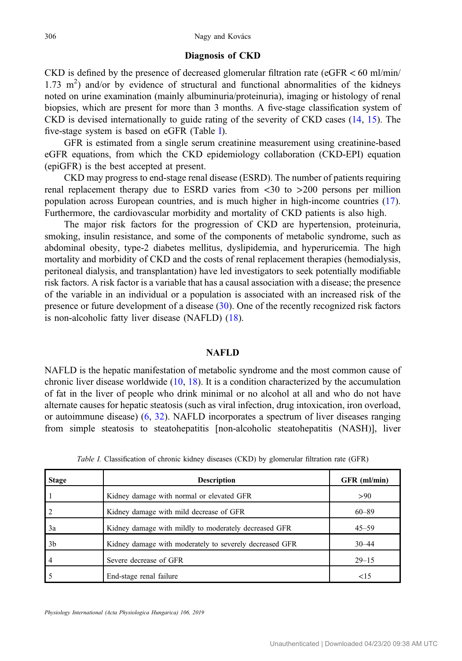## Diagnosis of CKD

CKD is defined by the presence of decreased glomerular filtration rate ( $eGFR < 60$  ml/min/ 1.73  $m<sup>2</sup>$ ) and/or by evidence of structural and functional abnormalities of the kidneys noted on urine examination (mainly albuminuria/proteinuria), imaging or histology of renal biopsies, which are present for more than 3 months. A five-stage classification system of CKD is devised internationally to guide rating of the severity of CKD cases ([14,](#page-4-0) [15\)](#page-4-0). The five-stage system is based on eGFR (Table I).

GFR is estimated from a single serum creatinine measurement using creatinine-based eGFR equations, from which the CKD epidemiology collaboration (CKD-EPI) equation (epiGFR) is the best accepted at present.

CKD may progress to end-stage renal disease (ESRD). The number of patients requiring renal replacement therapy due to ESRD varies from <30 to >200 persons per million population across European countries, and is much higher in high-income countries [\(17](#page-5-0)). Furthermore, the cardiovascular morbidity and mortality of CKD patients is also high.

The major risk factors for the progression of CKD are hypertension, proteinuria, smoking, insulin resistance, and some of the components of metabolic syndrome, such as abdominal obesity, type-2 diabetes mellitus, dyslipidemia, and hyperuricemia. The high mortality and morbidity of CKD and the costs of renal replacement therapies (hemodialysis, peritoneal dialysis, and transplantation) have led investigators to seek potentially modifiable risk factors. A risk factor is a variable that has a causal association with a disease; the presence of the variable in an individual or a population is associated with an increased risk of the presence or future development of a disease ([30\)](#page-5-0). One of the recently recognized risk factors is non-alcoholic fatty liver disease (NAFLD) ([18\)](#page-5-0).

## NAFLD

NAFLD is the hepatic manifestation of metabolic syndrome and the most common cause of chronic liver disease worldwide  $(10, 18)$  $(10, 18)$  $(10, 18)$  $(10, 18)$ . It is a condition characterized by the accumulation of fat in the liver of people who drink minimal or no alcohol at all and who do not have alternate causes for hepatic steatosis (such as viral infection, drug intoxication, iron overload, or autoimmune disease) ([6,](#page-4-0) [32](#page-5-0)). NAFLD incorporates a spectrum of liver diseases ranging from simple steatosis to steatohepatitis [non-alcoholic steatohepatitis (NASH)], liver

| <b>Stage</b>   | <b>Description</b>                                      | GFR (ml/min) |
|----------------|---------------------------------------------------------|--------------|
|                | Kidney damage with normal or elevated GFR               | >90          |
|                | Kidney damage with mild decrease of GFR                 | $60 - 89$    |
| 3a             | Kidney damage with mildly to moderately decreased GFR   | $45 - 59$    |
| 3 <sub>b</sub> | Kidney damage with moderately to severely decreased GFR | $30 - 44$    |
| $\overline{4}$ | Severe decrease of GFR                                  | $29 - 15$    |
|                | End-stage renal failure                                 | ${<}15$      |

Table I. Classification of chronic kidney diseases (CKD) by glomerular filtration rate (GFR)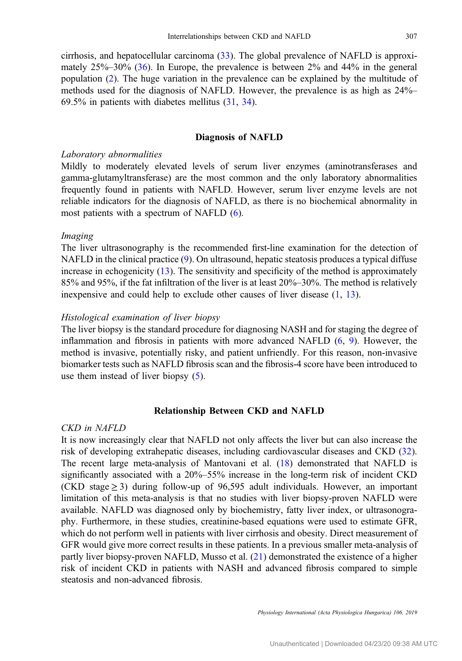cirrhosis, and hepatocellular carcinoma [\(33](#page-5-0)). The global prevalence of NAFLD is approximately 25%–30% ([36\)](#page-5-0). In Europe, the prevalence is between 2% and 44% in the general population [\(2](#page-4-0)). The huge variation in the prevalence can be explained by the multitude of methods used for the diagnosis of NAFLD. However, the prevalence is as high as 24%– 69.5% in patients with diabetes mellitus [\(31](#page-5-0), [34](#page-5-0)).

## Diagnosis of NAFLD

#### Laboratory abnormalities

Mildly to moderately elevated levels of serum liver enzymes (aminotransferases and gamma-glutamyltransferase) are the most common and the only laboratory abnormalities frequently found in patients with NAFLD. However, serum liver enzyme levels are not reliable indicators for the diagnosis of NAFLD, as there is no biochemical abnormality in most patients with a spectrum of NAFLD [\(6](#page-4-0)).

#### Imaging

The liver ultrasonography is the recommended first-line examination for the detection of NAFLD in the clinical practice ([9\)](#page-4-0). On ultrasound, hepatic steatosis produces a typical diffuse increase in echogenicity ([13](#page-4-0)). The sensitivity and specificity of the method is approximately 85% and 95%, if the fat infiltration of the liver is at least 20%–30%. The method is relatively inexpensive and could help to exclude other causes of liver disease [\(1](#page-4-0), [13](#page-4-0)).

#### Histological examination of liver biopsy

The liver biopsy is the standard procedure for diagnosing NASH and for staging the degree of inflammation and fibrosis in patients with more advanced NAFLD [\(6](#page-4-0), [9\)](#page-4-0). However, the method is invasive, potentially risky, and patient unfriendly. For this reason, non-invasive biomarker tests such as NAFLD fibrosis scan and the fibrosis-4 score have been introduced to use them instead of liver biopsy [\(5](#page-4-0)).

#### Relationship Between CKD and NAFLD

## CKD in NAFLD

It is now increasingly clear that NAFLD not only affects the liver but can also increase the risk of developing extrahepatic diseases, including cardiovascular diseases and CKD [\(32](#page-5-0)). The recent large meta-analysis of Mantovani et al. [\(18](#page-5-0)) demonstrated that NAFLD is significantly associated with a 20%–55% increase in the long-term risk of incident CKD (CKD stage  $\geq$  3) during follow-up of 96,595 adult individuals. However, an important limitation of this meta-analysis is that no studies with liver biopsy-proven NAFLD were available. NAFLD was diagnosed only by biochemistry, fatty liver index, or ultrasonography. Furthermore, in these studies, creatinine-based equations were used to estimate GFR, which do not perform well in patients with liver cirrhosis and obesity. Direct measurement of GFR would give more correct results in these patients. In a previous smaller meta-analysis of partly liver biopsy-proven NAFLD, Musso et al. [\(21](#page-5-0)) demonstrated the existence of a higher risk of incident CKD in patients with NASH and advanced fibrosis compared to simple steatosis and non-advanced fibrosis.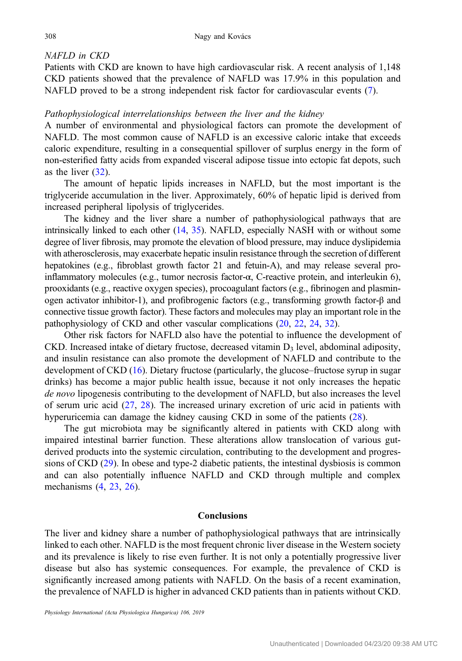#### NAFLD in CKD

Patients with CKD are known to have high cardiovascular risk. A recent analysis of 1,148 CKD patients showed that the prevalence of NAFLD was 17.9% in this population and NAFLD proved to be a strong independent risk factor for cardiovascular events [\(7](#page-4-0)).

## Pathophysiological interrelationships between the liver and the kidney

A number of environmental and physiological factors can promote the development of NAFLD. The most common cause of NAFLD is an excessive caloric intake that exceeds caloric expenditure, resulting in a consequential spillover of surplus energy in the form of non-esterified fatty acids from expanded visceral adipose tissue into ectopic fat depots, such as the liver [\(32](#page-5-0)).

The amount of hepatic lipids increases in NAFLD, but the most important is the triglyceride accumulation in the liver. Approximately, 60% of hepatic lipid is derived from increased peripheral lipolysis of triglycerides.

The kidney and the liver share a number of pathophysiological pathways that are intrinsically linked to each other ([14,](#page-4-0) [35](#page-5-0)). NAFLD, especially NASH with or without some degree of liver fibrosis, may promote the elevation of blood pressure, may induce dyslipidemia with atherosclerosis, may exacerbate hepatic insulin resistance through the secretion of different hepatokines (e.g., fibroblast growth factor 21 and fetuin-A), and may release several proinflammatory molecules (e.g., tumor necrosis factor- $\alpha$ , C-reactive protein, and interleukin 6), prooxidants (e.g., reactive oxygen species), procoagulant factors (e.g., fibrinogen and plasminogen activator inhibitor-1), and profibrogenic factors (e.g., transforming growth factor-β and connective tissue growth factor). These factors and molecules may play an important role in the pathophysiology of CKD and other vascular complications ([20,](#page-5-0) [22](#page-5-0), [24,](#page-5-0) [32\)](#page-5-0).

Other risk factors for NAFLD also have the potential to influence the development of CKD. Increased intake of dietary fructose, decreased vitamin  $D_3$  level, abdominal adiposity, and insulin resistance can also promote the development of NAFLD and contribute to the development of CKD [\(16](#page-5-0)). Dietary fructose (particularly, the glucose–fructose syrup in sugar drinks) has become a major public health issue, because it not only increases the hepatic de novo lipogenesis contributing to the development of NAFLD, but also increases the level of serum uric acid ([27,](#page-5-0) [28\)](#page-5-0). The increased urinary excretion of uric acid in patients with hyperuricemia can damage the kidney causing CKD in some of the patients [\(28](#page-5-0)).

The gut microbiota may be significantly altered in patients with CKD along with impaired intestinal barrier function. These alterations allow translocation of various gutderived products into the systemic circulation, contributing to the development and progressions of CKD ([29\)](#page-5-0). In obese and type-2 diabetic patients, the intestinal dysbiosis is common and can also potentially influence NAFLD and CKD through multiple and complex mechanisms ([4,](#page-4-0) [23,](#page-5-0) [26\)](#page-5-0).

## Conclusions

The liver and kidney share a number of pathophysiological pathways that are intrinsically linked to each other. NAFLD is the most frequent chronic liver disease in the Western society and its prevalence is likely to rise even further. It is not only a potentially progressive liver disease but also has systemic consequences. For example, the prevalence of CKD is significantly increased among patients with NAFLD. On the basis of a recent examination, the prevalence of NAFLD is higher in advanced CKD patients than in patients without CKD.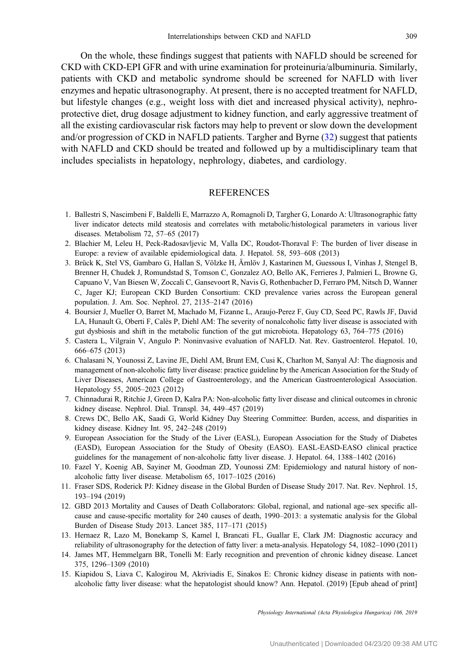<span id="page-4-0"></span>On the whole, these findings suggest that patients with NAFLD should be screened for CKD with CKD-EPI GFR and with urine examination for proteinuria/albuminuria. Similarly, patients with CKD and metabolic syndrome should be screened for NAFLD with liver enzymes and hepatic ultrasonography. At present, there is no accepted treatment for NAFLD, but lifestyle changes (e.g., weight loss with diet and increased physical activity), nephroprotective diet, drug dosage adjustment to kidney function, and early aggressive treatment of all the existing cardiovascular risk factors may help to prevent or slow down the development and/or progression of CKD in NAFLD patients. Targher and Byrne [\(32](#page-5-0)) suggest that patients with NAFLD and CKD should be treated and followed up by a multidisciplinary team that includes specialists in hepatology, nephrology, diabetes, and cardiology.

## **REFERENCES**

- 1. Ballestri S, Nascimbeni F, Baldelli E, Marrazzo A, Romagnoli D, Targher G, Lonardo A: Ultrasonographic fatty liver indicator detects mild steatosis and correlates with metabolic/histological parameters in various liver diseases. Metabolism 72, 57–65 (2017)
- 2. Blachier M, Leleu H, Peck-Radosavljevic M, Valla DC, Roudot-Thoraval F: The burden of liver disease in Europe: a review of available epidemiological data. J. Hepatol. 58, 593–608 (2013)
- 3. Brück K, Stel VS, Gambaro G, Hallan S, Völzke H, Ärnlöv J, Kastarinen M, Guessous I, Vinhas J, Stengel B, Brenner H, Chudek J, Romundstad S, Tomson C, Gonzalez AO, Bello AK, Ferrieres J, Palmieri L, Browne G, Capuano V, Van Biesen W, Zoccali C, Gansevoort R, Navis G, Rothenbacher D, Ferraro PM, Nitsch D, Wanner C, Jager KJ; European CKD Burden Consortium: CKD prevalence varies across the European general population. J. Am. Soc. Nephrol. 27, 2135–2147 (2016)
- 4. Boursier J, Mueller O, Barret M, Machado M, Fizanne L, Araujo-Perez F, Guy CD, Seed PC, Rawls JF, David LA, Hunault G, Oberti F, Calès P, Diehl AM: The severity of nonalcoholic fatty liver disease is associated with gut dysbiosis and shift in the metabolic function of the gut microbiota. Hepatology 63, 764–775 (2016)
- 5. Castera L, Vilgrain V, Angulo P: Noninvasive evaluation of NAFLD. Nat. Rev. Gastroenterol. Hepatol. 10, 666–675 (2013)
- 6. Chalasani N, Younossi Z, Lavine JE, Diehl AM, Brunt EM, Cusi K, Charlton M, Sanyal AJ: The diagnosis and management of non-alcoholic fatty liver disease: practice guideline by the American Association for the Study of Liver Diseases, American College of Gastroenterology, and the American Gastroenterological Association. Hepatology 55, 2005–2023 (2012)
- 7. Chinnadurai R, Ritchie J, Green D, Kalra PA: Non-alcoholic fatty liver disease and clinical outcomes in chronic kidney disease. Nephrol. Dial. Transpl. 34, 449–457 (2019)
- 8. Crews DC, Bello AK, Saadi G, World Kidney Day Steering Committee: Burden, access, and disparities in kidney disease. Kidney Int. 95, 242–248 (2019)
- 9. European Association for the Study of the Liver (EASL), European Association for the Study of Diabetes (EASD), European Association for the Study of Obesity (EASO). EASL-EASD-EASO clinical practice guidelines for the management of non-alcoholic fatty liver disease. J. Hepatol. 64, 1388–1402 (2016)
- 10. Fazel Y, Koenig AB, Sayiner M, Goodman ZD, Younossi ZM: Epidemiology and natural history of nonalcoholic fatty liver disease. Metabolism 65, 1017–1025 (2016)
- 11. Fraser SDS, Roderick PJ: Kidney disease in the Global Burden of Disease Study 2017. Nat. Rev. Nephrol. 15, 193–194 (2019)
- 12. GBD 2013 Mortality and Causes of Death Collaborators: Global, regional, and national age–sex specific allcause and cause-specific mortality for 240 causes of death, 1990–2013: a systematic analysis for the Global Burden of Disease Study 2013. Lancet 385, 117–171 (2015)
- 13. Hernaez R, Lazo M, Bonekamp S, Kamel I, Brancati FL, Guallar E, Clark JM: Diagnostic accuracy and reliability of ultrasonography for the detection of fatty liver: a meta-analysis. Hepatology 54, 1082–1090 (2011)
- 14. James MT, Hemmelgarn BR, Tonelli M: Early recognition and prevention of chronic kidney disease. Lancet 375, 1296–1309 (2010)
- 15. Kiapidou S, Liava C, Kalogirou M, Akriviadis E, Sinakos E: Chronic kidney disease in patients with nonalcoholic fatty liver disease: what the hepatologist should know? Ann. Hepatol. (2019) [Epub ahead of print]

Physiology International (Acta Physiologica Hungarica) 106, 2019